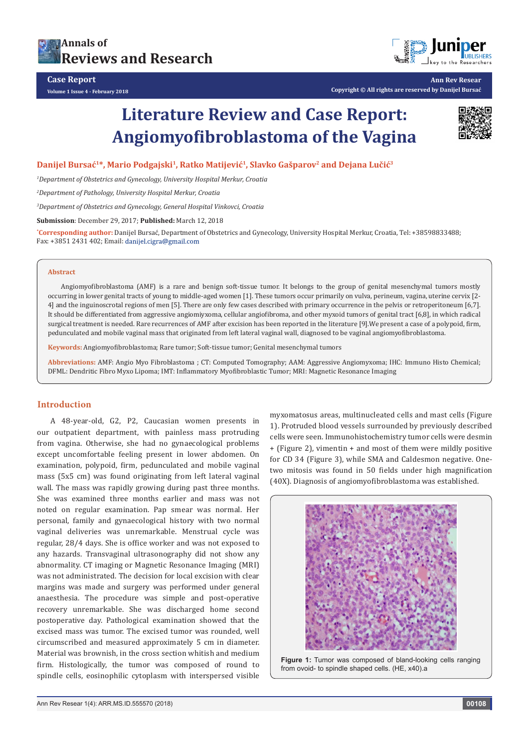



**Ann Rev Resear Copyright © All rights are reserved by Danijel Bursać**

# **Literature Review and Case Report: Angiomyofibroblastoma of the Vagina**



## **Danijel Bursać1\*, Mario Podgajski1, Ratko Matijević1, Slavko Gašparov2 and Dejana Lučić<sup>3</sup>**

*1 Department of Obstetrics and Gynecology, University Hospital Merkur, Croatia*

*2 Department of Pathology, University Hospital Merkur, Croatia*

*3 Department of Obstetrics and Gynecology, General Hospital Vinkovci, Croatia*

**Submission**: December 29, 2017; **Published:** March 12, 2018

**\* Corresponding author:** Danijel Bursać, Department of Obstetrics and Gynecology, University Hospital Merkur, Croatia, Tel: +38598833488; Fax: +3851 2431 402; Email: danijel.cigra@gmail.com

#### **Abstract**

Angiomyofibroblastoma (AMF) is a rare and benign soft-tissue tumor. It belongs to the group of genital mesenchymal tumors mostly occurring in lower genital tracts of young to middle-aged women [1]. These tumors occur primarily on vulva, perineum, vagina, uterine cervix [2- 4] and the inguinoscrotal regions of men [5]. There are only few cases described with primary occurrence in the pelvis or retroperitoneum [6,7]. It should be differentiated from aggressive angiomiyxoma, cellular angiofibroma, and other myxoid tumors of genital tract [6,8], in which radical surgical treatment is needed. Rare recurrences of AMF after excision has been reported in the literature [9].We present a case of a polypoid, firm, pedunculated and mobile vaginal mass that originated from left lateral vaginal wall, diagnosed to be vaginal angiomyofibroblastoma.

**Keywords:** Angiomyofibroblastoma; Rare tumor; Soft-tissue tumor; Genital mesenchymal tumors

**Abbreviations:** AMF: Angio Myo Fibroblastoma ; CT: Computed Tomography; AAM: Aggressive Angiomyxoma; IHC: Immuno Histo Chemical; DFML: Dendritic Fibro Myxo Lipoma; IMT: Inflammatory Myofibroblastic Tumor; MRI: Magnetic Resonance Imaging

# **Introduction**

A 48-year-old, G2, P2, Caucasian women presents in our outpatient department, with painless mass protruding from vagina. Otherwise, she had no gynaecological problems except uncomfortable feeling present in lower abdomen. On examination, polypoid, firm, pedunculated and mobile vaginal mass (5x5 cm) was found originating from left lateral vaginal wall. The mass was rapidly growing during past three months. She was examined three months earlier and mass was not noted on regular examination. Pap smear was normal. Her personal, family and gynaecological history with two normal vaginal deliveries was unremarkable. Menstrual cycle was regular, 28/4 days. She is office worker and was not exposed to any hazards. Transvaginal ultrasonography did not show any abnormality. CT imaging or Magnetic Resonance Imaging (MRI) was not administrated. The decision for local excision with clear margins was made and surgery was performed under general anaesthesia. The procedure was simple and post-operative recovery unremarkable. She was discharged home second postoperative day. Pathological examination showed that the excised mass was tumor. The excised tumor was rounded, well circumscribed and measured approximately 5 cm in diameter. Material was brownish, in the cross section whitish and medium firm. Histologically, the tumor was composed of round to spindle cells, eosinophilic cytoplasm with interspersed visible

myxomatosus areas, multinucleated cells and mast cells (Figure 1). Protruded blood vessels surrounded by previously described cells were seen. Immunohistochemistry tumor cells were desmin + (Figure 2), vimentin + and most of them were mildly positive for CD 34 (Figure 3), while SMA and Caldesmon negative. Onetwo mitosis was found in 50 fields under high magnification (40X). Diagnosis of angiomyofibroblastoma was established.



**Figure 1:** Tumor was composed of bland-looking cells ranging from ovoid- to spindle shaped cells. (HE, x40).a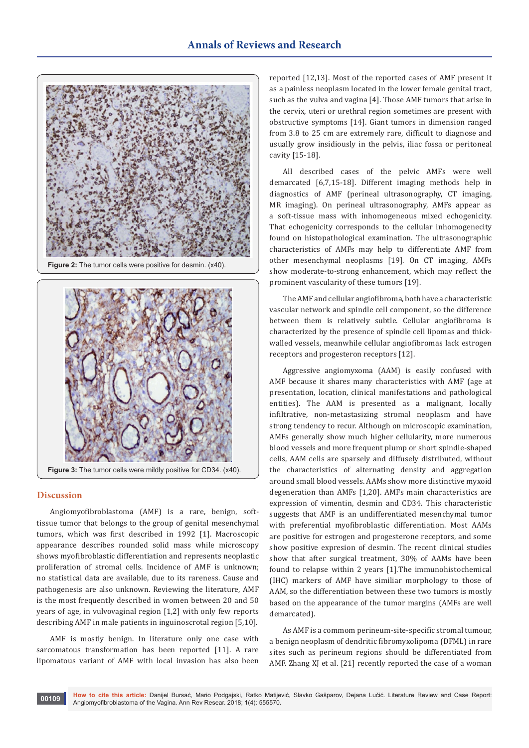

**Figure 2:** The tumor cells were positive for desmin. (x40).



#### **Discussion**

Angiomyofibroblastoma (AMF) is a rare, benign, softtissue tumor that belongs to the group of genital mesenchymal tumors, which was first described in 1992 [1]. Macroscopic appearance describes rounded solid mass while microscopy shows myofibroblastic differentiation and represents neoplastic proliferation of stromal cells. Incidence of AMF is unknown; no statistical data are available, due to its rareness. Cause and pathogenesis are also unknown. Reviewing the literature, AMF is the most frequently described in women between 20 and 50 years of age, in vulvovaginal region [1,2] with only few reports describing AMF in male patients in inguinoscrotal region [5,10].

AMF is mostly benign. In literature only one case with sarcomatous transformation has been reported [11]. A rare lipomatous variant of AMF with local invasion has also been reported [12,13]. Most of the reported cases of AMF present it as a painless neoplasm located in the lower female genital tract, such as the vulva and vagina [4]. Those AMF tumors that arise in the cervix, uteri or urethral region sometimes are present with obstructive symptoms [14]. Giant tumors in dimension ranged from 3.8 to 25 cm are extremely rare, difficult to diagnose and usually grow insidiously in the pelvis, iliac fossa or peritoneal cavity [15-18].

All described cases of the pelvic AMFs were well demarcated [6,7,15-18]. Different imaging methods help in diagnostics of AMF (perineal ultrasonography, CT imaging, MR imaging). On perineal ultrasonography, AMFs appear as a soft-tissue mass with inhomogeneous mixed echogenicity. That echogenicity corresponds to the cellular inhomogenecity found on histopathological examination. The ultrasonographic characteristics of AMFs may help to differentiate AMF from other mesenchymal neoplasms [19]. On CT imaging, AMFs show moderate-to-strong enhancement, which may reflect the prominent vascularity of these tumors [19].

The AMF and cellular angiofibroma, both have a characteristic vascular network and spindle cell component, so the difference between them is relatively subtle. Cellular angiofibroma is characterized by the presence of spindle cell lipomas and thickwalled vessels, meanwhile cellular angiofibromas lack estrogen receptors and progesteron receptors [12].

Aggressive angiomyxoma (AAM) is easily confused with AMF because it shares many characteristics with AMF (age at presentation, location, clinical manifestations and pathological entities). The AAM is presented as a malignant, locally infiltrative, non-metastasizing stromal neoplasm and have strong tendency to recur. Although on microscopic examination, AMFs generally show much higher cellularity, more numerous blood vessels and more frequent plump or short spindle-shaped cells, AAM cells are sparsely and diffusely distributed, without the characteristics of alternating density and aggregation around small blood vessels. AAMs show more distinctive myxoid degeneration than AMFs [1,20]. AMFs main characteristics are expression of vimentin, desmin and CD34. This characteristic suggests that AMF is an undifferentiated mesenchymal tumor with preferential myofibroblastic differentiation. Most AAMs are positive for estrogen and progesterone receptors, and some show positive expresion of desmin. The recent clinical studies show that after surgical treatment, 30% of AAMs have been found to relapse within 2 years [1].The immunohistochemical (IHC) markers of AMF have similiar morphology to those of AAM, so the differentiation between these two tumors is mostly based on the appearance of the tumor margins (AMFs are well demarcated).

As AMF is a commom perineum-site-specific stromal tumour, a benign neoplasm of dendritic fibromyxolipoma (DFML) in rare sites such as perineum regions should be differentiated from AMF. Zhang XJ et al. [21] recently reported the case of a woman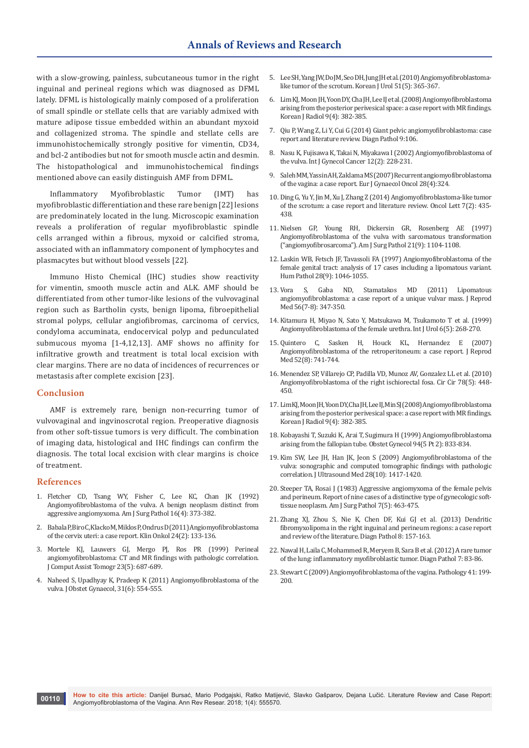with a slow-growing, painless, subcutaneous tumor in the right inguinal and perineal regions which was diagnosed as DFML lately. DFML is histologically mainly composed of a proliferation of small spindle or stellate cells that are variably admixed with mature adipose tissue embedded within an abundant myxoid and collagenized stroma. The spindle and stellate cells are immunohistochemically strongly positive for vimentin, CD34, and bcl-2 antibodies but not for smooth muscle actin and desmin. The histopathological and immunohistochemical findings mentioned above can easily distinguish AMF from DFML.

Inflammatory Myofibroblastic Tumor (IMT) has myofibroblastic differentiation and these rare benign [22] lesions are predominately located in the lung. Microscopic examination reveals a proliferation of regular myofibroblastic spindle cells arranged within a fibrous, myxoid or calcified stroma, associated with an inflammatory component of lymphocytes and plasmacytes but without blood vessels [22].

Immuno Histo Chemical (IHC) studies show reactivity for vimentin, smooth muscle actin and ALK. AMF should be differentiated from other tumor-like lesions of the vulvovaginal region such as Bartholin cysts, benign lipoma, fibroepithelial stromal polyps, cellular angiofibromas, carcinoma of cervics, condyloma accuminata, endocervical polyp and pedunculated submucous myoma [1-4,12,13]. AMF shows no affinity for infiltrative growth and treatment is total local excision with clear margins. There are no data of incidences of recurrences or metastasis after complete excision [23].

#### **Conclusion**

AMF is extremely rare, benign non-recurring tumor of vulvovaginal and ingvinoscrotal region. Preoperative diagnosis from other soft-tissue tumors is very difficult. The combination of imaging data, histological and IHC findings can confirm the diagnosis. The total local excision with clear margins is choice of treatment.

#### **References**

- 1. [Fletcher CD, Tsang WY, Fisher C, Lee KC, Chan JK \(1992\)](https://www.ncbi.nlm.nih.gov/pubmed/1314521)  [Angiomyofibroblastoma of the vulva. A benign neoplasm distinct from](https://www.ncbi.nlm.nih.gov/pubmed/1314521)  [aggressive angiomyxoma. Am J Surg Pathol 16\(4\): 373-382.](https://www.ncbi.nlm.nih.gov/pubmed/1314521)
- 2. Babala P, Biro C, Klacko M, Miklos P, Ondrus D (2011) Angiomyofibroblastoma [of the cervix uteri: a case report. Klin Onkol 24\(2\): 133-136.](https://www.ncbi.nlm.nih.gov/pubmed/21638997)
- 3. [Mortele KJ, Lauwers GJ, Mergo PJ, Ros PR \(1999\) Perineal](https://www.ncbi.nlm.nih.gov/pubmed/10524846)  [angiomyofibroblastoma: CT and MR findings with pathologic correlation.](https://www.ncbi.nlm.nih.gov/pubmed/10524846)  [J Comput Assist Tomogr 23\(5\): 687-689.](https://www.ncbi.nlm.nih.gov/pubmed/10524846)
- 4. [Naheed S, Upadhyay K, Pradeep K \(2011\) Angiomyofibroblastoma of the](https://www.ncbi.nlm.nih.gov/pubmed/21823872)  [vulva. J Obstet Gynaecol, 31\(6\): 554-555.](https://www.ncbi.nlm.nih.gov/pubmed/21823872)
- 5. [Lee SH, Yang JW, Do JM, Seo DH, Jung JH et al. \(2010\) Angiomyofibroblastoma](https://www.ncbi.nlm.nih.gov/pubmed/20495703/)[like tumor of the scrotum. Korean J Urol 51\(5\): 365-367.](https://www.ncbi.nlm.nih.gov/pubmed/20495703/)
- 6. [Lim KJ, Moon JH, Yoon DY, Cha JH, Lee IJ et al. \(2008\) Angiomyofibroblastoma](https://www.ncbi.nlm.nih.gov/pubmed/18682679/)  [arising from the posterior perivesical space: a case report with MR findings.](https://www.ncbi.nlm.nih.gov/pubmed/18682679/)  [Korean J Radiol 9\(4\): 382-385.](https://www.ncbi.nlm.nih.gov/pubmed/18682679/)
- 7. [Qiu P, Wang Z, Li Y, Cui G \(2014\) Giant pelvic angiomyofibroblastoma: case](https://www.ncbi.nlm.nih.gov/pubmed/24894537)  [report and literature review. Diagn Pathol 9:106.](https://www.ncbi.nlm.nih.gov/pubmed/24894537)
- 8. [Nasu K, Fujisawa K, Takai N, Miyakawa I \(2002\) Angiomyofibroblastoma of](https://www.ncbi.nlm.nih.gov/pubmed/11975687)  [the vulva. Int J Gynecol Cancer 12\(2\): 228-231.](https://www.ncbi.nlm.nih.gov/pubmed/11975687)
- 9. [Saleh MM, Yassin AH, Zaklama MS \(2007\) Recurrent angiomyofibroblastoma](https://www.ncbi.nlm.nih.gov/pubmed/17713105)  [of the vagina: a case report. Eur J Gynaecol Oncol 28\(4\):324.](https://www.ncbi.nlm.nih.gov/pubmed/17713105)
- 10. [Ding G, Yu Y, Jin M, Xu J, Zhang Z \(2014\) Angiomyofibroblastoma-like tumor](https://www.ncbi.nlm.nih.gov/pubmed/24396463/)  [of the scrotum: a case report and literature review. Oncol Lett 7\(2\): 435-](https://www.ncbi.nlm.nih.gov/pubmed/24396463/) [438.](https://www.ncbi.nlm.nih.gov/pubmed/24396463/)
- 11. [Nielsen GP, Young RH, Dickersin GR, Rosenberg AE \(1997\)](https://www.ncbi.nlm.nih.gov/pubmed/9298888)  [Angiomyofibroblastoma of the vulva with sarcomatous transformation](https://www.ncbi.nlm.nih.gov/pubmed/9298888)  [\("angiomyofibrosarcoma"\). Am J Surg Pathol 21\(9\): 1104-1108.](https://www.ncbi.nlm.nih.gov/pubmed/9298888)
- 12. [Laskin WB, Fetsch JF, Tavassoli FA \(1997\) Angiomyofibroblastoma of the](https://www.ncbi.nlm.nih.gov/pubmed/9308729)  [female genital tract: analysis of 17 cases including a lipomatous variant.](https://www.ncbi.nlm.nih.gov/pubmed/9308729)  [Hum Pathol 28\(9\): 1046-1055.](https://www.ncbi.nlm.nih.gov/pubmed/9308729)
- 13. [Vora S, Gaba ND, Stamatakos MD \(2011\) Lipomatous](https://www.ncbi.nlm.nih.gov/pubmed/21838167)  [angiomyofibroblastoma: a case report of a unique vulvar mass. J Reprod](https://www.ncbi.nlm.nih.gov/pubmed/21838167)  [Med 56\(7-8\): 347-350.](https://www.ncbi.nlm.nih.gov/pubmed/21838167)
- 14. [Kitamura H, Miyao N, Sato Y, Matsukawa M, Tsukamoto T et al. \(1999\)](http://onlinelibrary.wiley.com/doi/10.1046/j.1442-2042.1999.00059.x/abstract)  [Angiomyofibroblastoma of the female urethra. Int J Urol 6\(5\): 268-270.](http://onlinelibrary.wiley.com/doi/10.1046/j.1442-2042.1999.00059.x/abstract)
- 15. [Quintero C, Sasken H, Houck KL, Hernandez E \(2007\)](https://www.ncbi.nlm.nih.gov/pubmed/17879839)  [Angiomyofibroblastoma of the retroperitoneum: a case report. J Reprod](https://www.ncbi.nlm.nih.gov/pubmed/17879839)  [Med 52\(8\): 741-744.](https://www.ncbi.nlm.nih.gov/pubmed/17879839)
- 16. [Menendez SP, Villarejo CP, Padilla VD, Munoz AV, Gonzalez LL et al. \(2010\)](https://www.ncbi.nlm.nih.gov/pubmed/21219818)  [Angiomyofibroblastoma of the right ischiorectal fosa. Cir Cir 78\(5\): 448-](https://www.ncbi.nlm.nih.gov/pubmed/21219818) [450.](https://www.ncbi.nlm.nih.gov/pubmed/21219818)
- 17. [Lim KJ, Moon JH, Yoon DY, Cha JH, Lee IJ, Min SJ \(2008\) Angiomyofibroblastoma](https://www.ncbi.nlm.nih.gov/pubmed/18682679/)  [arising from the posterior perivesical space: a case report with MR findings.](https://www.ncbi.nlm.nih.gov/pubmed/18682679/)  [Korean J Radiol 9\(4\): 382-385.](https://www.ncbi.nlm.nih.gov/pubmed/18682679/)
- 18. [Kobayashi T, Suzuki K, Arai T, Sugimura H \(1999\) Angiomyofibroblastoma](https://www.ncbi.nlm.nih.gov/pubmed/10546747)  [arising from the fallopian tube. Obstet Gynecol 94\(5 Pt 2\): 833-834.](https://www.ncbi.nlm.nih.gov/pubmed/10546747)
- 19. [Kim SW, Lee JH, Han JK, Jeon S \(2009\) Angiomyofibroblastoma of the](https://www.ncbi.nlm.nih.gov/pubmed/19778894)  [vulva: sonographic and computed tomographic findings with pathologic](https://www.ncbi.nlm.nih.gov/pubmed/19778894)  [correlation. J Ultrasound Med 28\(10\): 1417-1420.](https://www.ncbi.nlm.nih.gov/pubmed/19778894)
- 20. [Steeper TA, Rosai J \(1983\) Aggressive angiomyxoma of the female pelvis](https://www.ncbi.nlm.nih.gov/pubmed/6684403)  [and perineum. Report of nine cases of a distinctive type of gynecologic soft](https://www.ncbi.nlm.nih.gov/pubmed/6684403)[tissue neoplasm. Am J Surg Pathol 7\(5\): 463-475.](https://www.ncbi.nlm.nih.gov/pubmed/6684403)
- 21. [Zhang XJ, Zhou S, Nie K, Chen DF, Kui GJ et al. \(2013\) Dendritic](https://www.ncbi.nlm.nih.gov/pubmed/2405312)  [fibromyxolipoma in the right inguinal and perineum regions: a case report](https://www.ncbi.nlm.nih.gov/pubmed/2405312)  [and review of the literature. Diagn Pathol 8: 157-163.](https://www.ncbi.nlm.nih.gov/pubmed/2405312)
- 22. [Nawal H, Laila C, Mohammed R, Meryem B, Sara B et al. \(2012\) A rare tumor](https://www.ncbi.nlm.nih.gov/pubmed/22805416/)  [of the lung: inflammatory myofibroblastic tumor. Diagn Pathol 7: 83-86.](https://www.ncbi.nlm.nih.gov/pubmed/22805416/)
- 23. Stewart C (2009) Angiomyofibroblastoma of the vagina. Pathology 41: 199- 200.